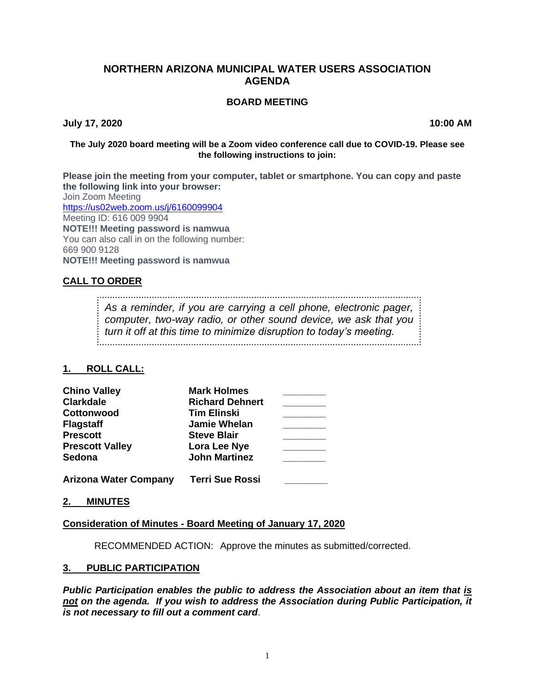# **NORTHERN ARIZONA MUNICIPAL WATER USERS ASSOCIATION AGENDA**

#### **BOARD MEETING**

**July 17, 2020 10:00 AM**

#### **The July 2020 board meeting will be a Zoom video conference call due to COVID-19. Please see the following instructions to join:**

**Please join the meeting from your computer, tablet or smartphone. You can copy and paste the following link into your browser:** Join Zoom Meeting <https://us02web.zoom.us/j/6160099904> Meeting ID: 616 009 9904 **NOTE!!! Meeting password is namwua** You can also call in on the following number: 669 900 9128 **NOTE!!! Meeting password is namwua**

# **CALL TO ORDER**

*As a reminder, if you are carrying a cell phone, electronic pager, computer, two-way radio, or other sound device, we ask that you turn it off at this time to minimize disruption to today's meeting.*

## **1. ROLL CALL:**

| <b>Chino Valley</b>          | <b>Mark Holmes</b>     |  |
|------------------------------|------------------------|--|
| <b>Clarkdale</b>             | <b>Richard Dehnert</b> |  |
| Cottonwood                   | <b>Tim Elinski</b>     |  |
| <b>Flagstaff</b>             | <b>Jamie Whelan</b>    |  |
| <b>Prescott</b>              | <b>Steve Blair</b>     |  |
| <b>Prescott Valley</b>       | Lora Lee Nye           |  |
| Sedona                       | <b>John Martinez</b>   |  |
| <b>Arizona Water Company</b> | <b>Terri Sue Rossi</b> |  |

**2. MINUTES**

## **Consideration of Minutes - Board Meeting of January 17, 2020**

RECOMMENDED ACTION: Approve the minutes as submitted/corrected.

#### **3. PUBLIC PARTICIPATION**

*Public Participation enables the public to address the Association about an item that is not on the agenda. If you wish to address the Association during Public Participation, it is not necessary to fill out a comment card*.